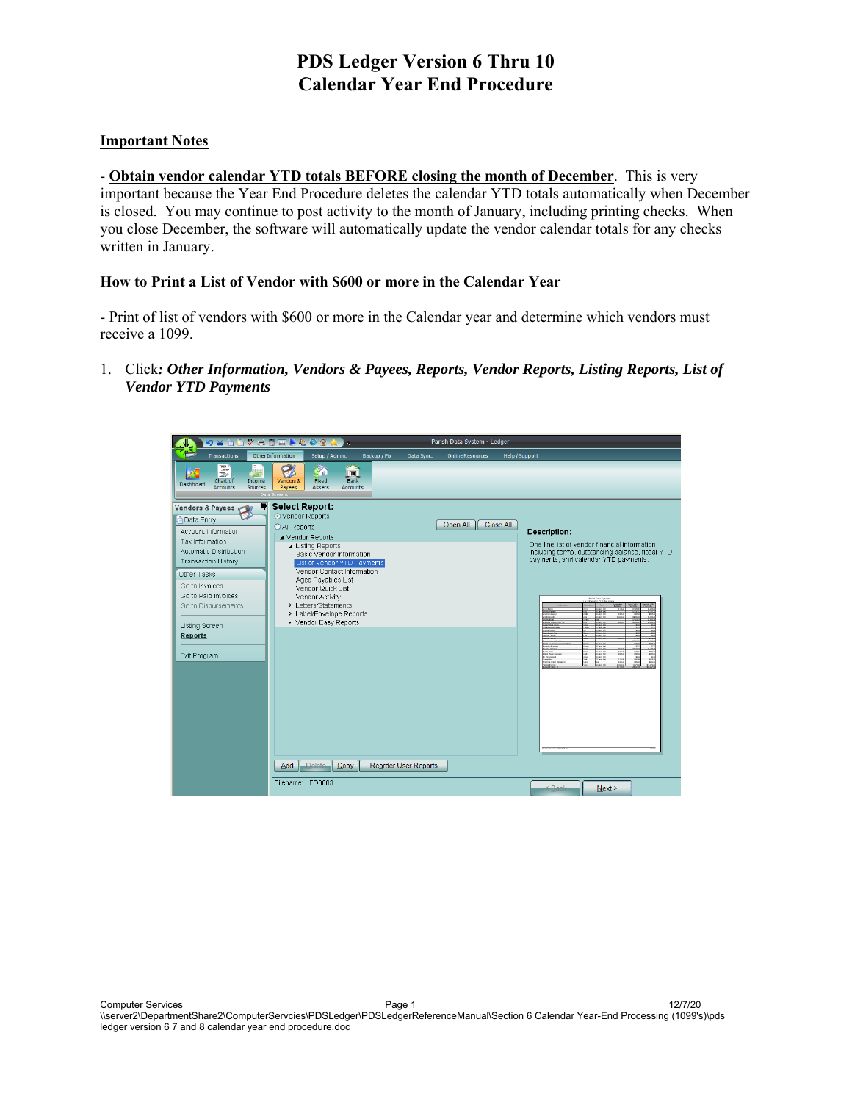#### **Important Notes**

- **Obtain vendor calendar YTD totals BEFORE closing the month of December**. This is very important because the Year End Procedure deletes the calendar YTD totals automatically when December is closed. You may continue to post activity to the month of January, including printing checks. When you close December, the software will automatically update the vendor calendar totals for any checks written in January.

#### **How to Print a List of Vendor with \$600 or more in the Calendar Year**

- Print of list of vendors with \$600 or more in the Calendar year and determine which vendors must receive a 1099.

1. Click*: Other Information, Vendors & Payees, Reports, Vendor Reports, Listing Reports, List of Vendor YTD Payments*

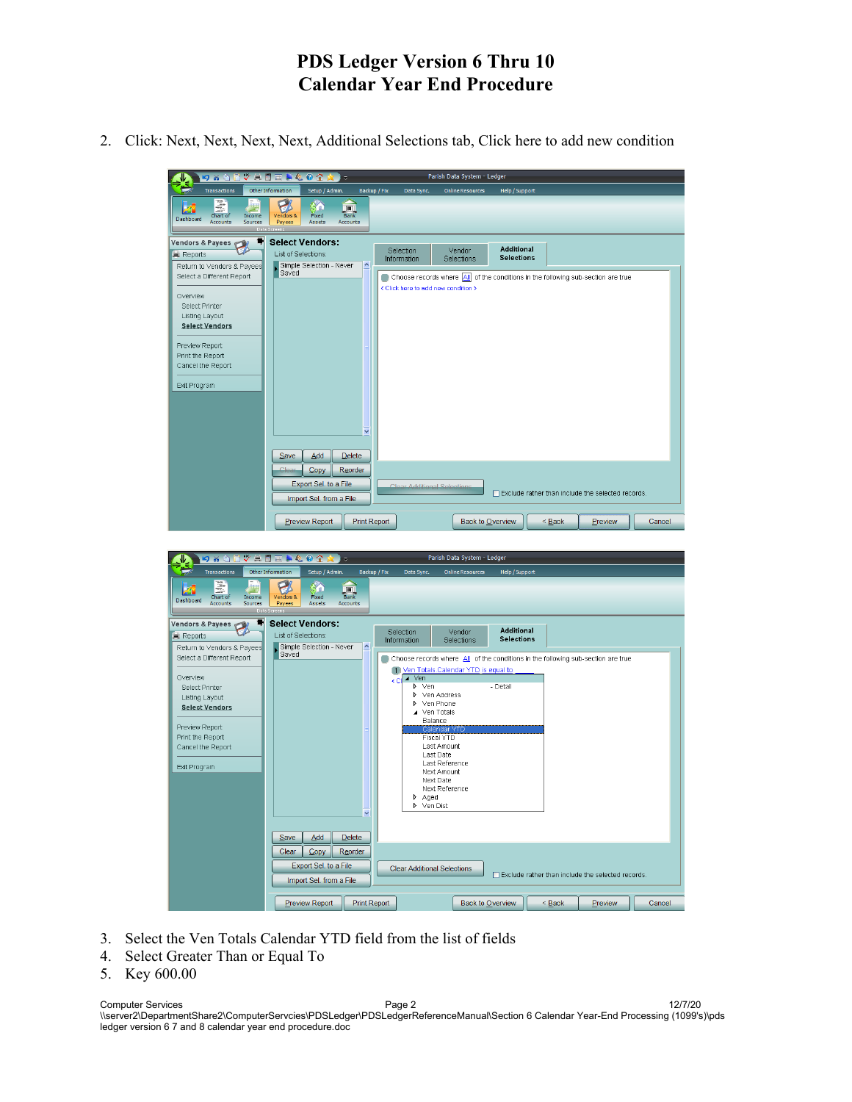2. Click: Next, Next, Next, Next, Additional Selections tab, Click here to add new condition



- 3. Select the Ven Totals Calendar YTD field from the list of fields
- 4. Select Greater Than or Equal To
- 5. Key 600.00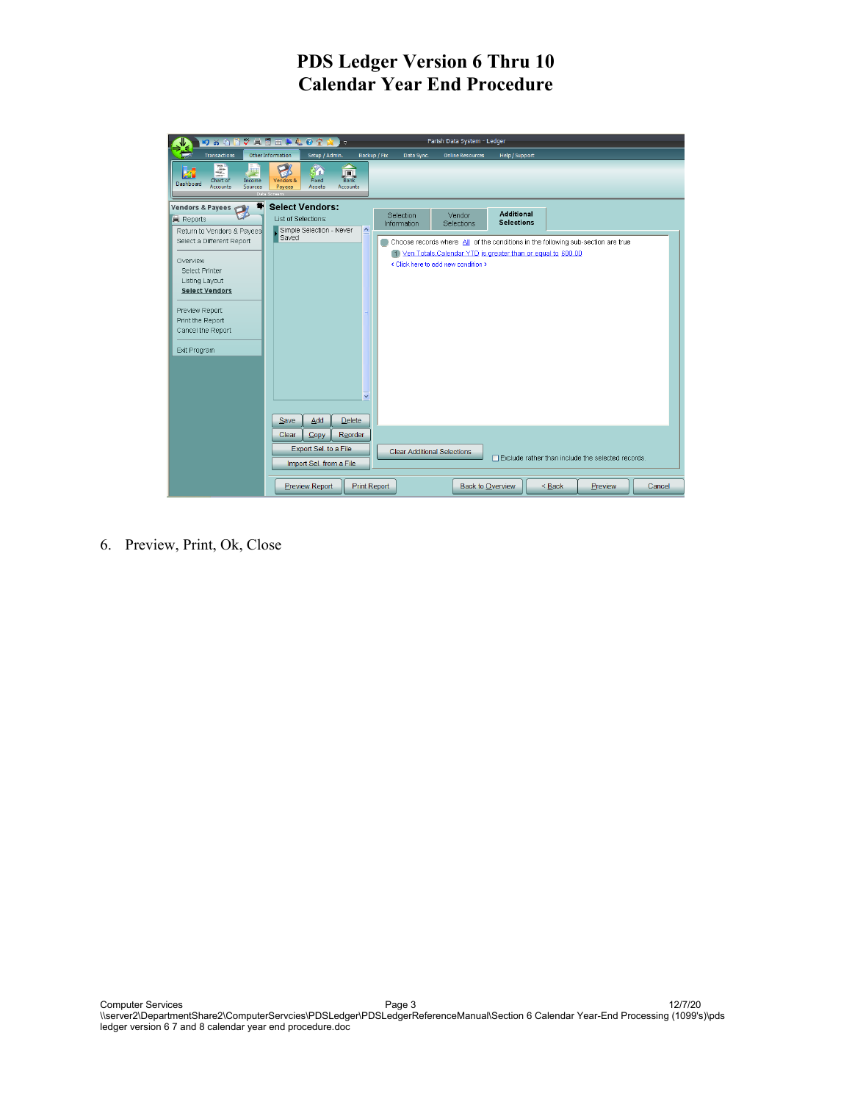

6. Preview, Print, Ok, Close